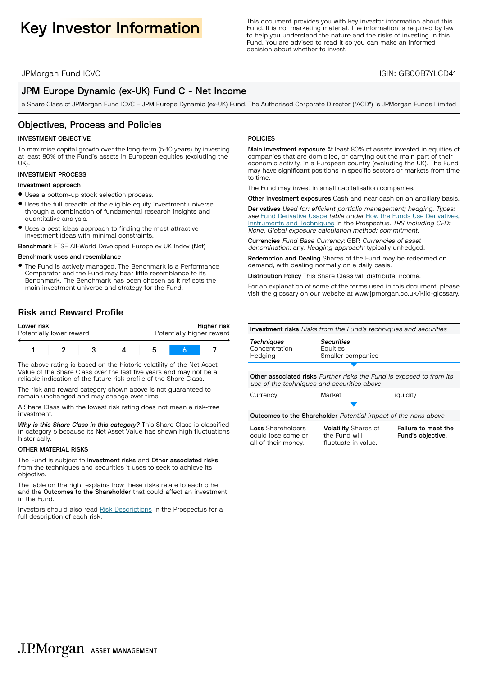Key Investor Information **Information**<br>
Fund. It is not marketing material. The information is required by law<br>
to below understand the pature and the risks of investing in this Fund. It is not marketing material. The information is required by law to help you understand the nature and the risks of investing in this Fund. You are advised to read it so you can make an informed decision about whether to invest.

JPMorgan Fund ICVC ISIN: GB00B7YLCD41

# JPM Europe Dynamic (ex-UK) Fund C - Net Income

a Share Class of JPMorgan Fund ICVC – JPM Europe Dynamic (ex-UK) Fund. The Authorised Corporate Director ("ACD") is JPMorgan Funds Limited

# Objectives, Process and Policies

#### INVESTMENT OBJECTIVE

To maximise capital growth over the long-term (5-10 years) by investing at least 80% of the Fund's assets in European equities (excluding the UK)

#### INVESTMENT PROCESS

#### Investment approach

- $\bullet$  Uses a bottom-up stock selection process.
- $\bullet$  Uses the full breadth of the eligible equity investment universe through a combination of fundamental research insights and quantitative analysis.
- $\bullet$  Uses a best ideas approach to finding the most attractive investment ideas with minimal constraints.

Benchmark FTSE All-World Developed Europe ex UK Index (Net)

#### Benchmark uses and resemblance

• The Fund is actively managed. The Benchmark is a Performance Comparator and the Fund may bear little resemblance to its Benchmark. The Benchmark has been chosen as it reflects the main investment universe and strategy for the Fund.

# Risk and Reward Profile

| Lower risk<br>Potentially lower reward |  | Higher risk<br>Potentially higher reward |  |  |
|----------------------------------------|--|------------------------------------------|--|--|
|                                        |  |                                          |  |  |

The above rating is based on the historic volatility of the Net Asset Value of the Share Class over the last five years and may not be a reliable indication of the future risk profile of the Share Class.

The risk and reward category shown above is not guaranteed to remain unchanged and may change over time.

A Share Class with the lowest risk rating does not mean a risk-free investment.

*Why is this Share Class in this category?* This Share Class is classified in category 6 because its Net Asset Value has shown high fluctuations historically.

#### OTHER MATERIAL RISKS

The Fund is subject to Investment risks and Other associated risks from the techniques and securities it uses to seek to achieve its objective.

The table on the right explains how these risks relate to each other and the Outcomes to the Shareholder that could affect an investment in the Fund.

Investors should also read Risk [Descriptions](https://am.jpmorgan.com/gb/en/asset-management/adv/products/fund-explorer/oeics) in the Prospectus for a full description of each risk.

### POLICIES

Main investment exposure At least 80% of assets invested in equities of companies that are domiciled, or carrying out the main part of their economic activity, in a European country (excluding the UK). The Fund may have significant positions in specific sectors or markets from time to time.

The Fund may invest in small capitalisation companies.

Other investment exposures Cash and near cash on an ancillary basis.

Derivatives Used for: efficient portfolio management; hedging. Types: see Fund [Derivative](https://am.jpmorgan.com/gb/en/asset-management/adv/products/fund-explorer/oeics) Usage table under How the Funds Use [Derivatives,](https://am.jpmorgan.com/gb/en/asset-management/adv/products/fund-explorer/oeics) [Instruments](https://am.jpmorgan.com/gb/en/asset-management/adv/products/fund-explorer/oeics) and Techniques in the Prospectus. TRS including CFD: None. Global exposure calculation method: commitment.

Currencies Fund Base Currency: GBP. Currencies of asset denomination: any. Hedging approach: typically unhedged.

Redemption and Dealing Shares of the Fund may be redeemed on demand, with dealing normally on a daily basis.

Distribution Policy This Share Class will distribute income.

For an explanation of some of the terms used in this document, please visit the glossary on our website at [www.jpmorgan.co.uk/kiid-glossary.](www.jpmorgan.co.uk/kiid-glossary)

Investment risks Risks from the Fund's techniques and securities

*Techniques* Concentration Hedging

*Securities* Equities Smaller companies

S Other associated risks Further risks the Fund is exposed to from its use of the techniques and securities above

S

Currency **Market** Liquidity

Outcomes to the Shareholder Potential impact of the risks above

Loss Shareholders could lose some or all of their money.

Volatility Shares of the Fund will fluctuate in value.

Failure to meet the Fund's objective.